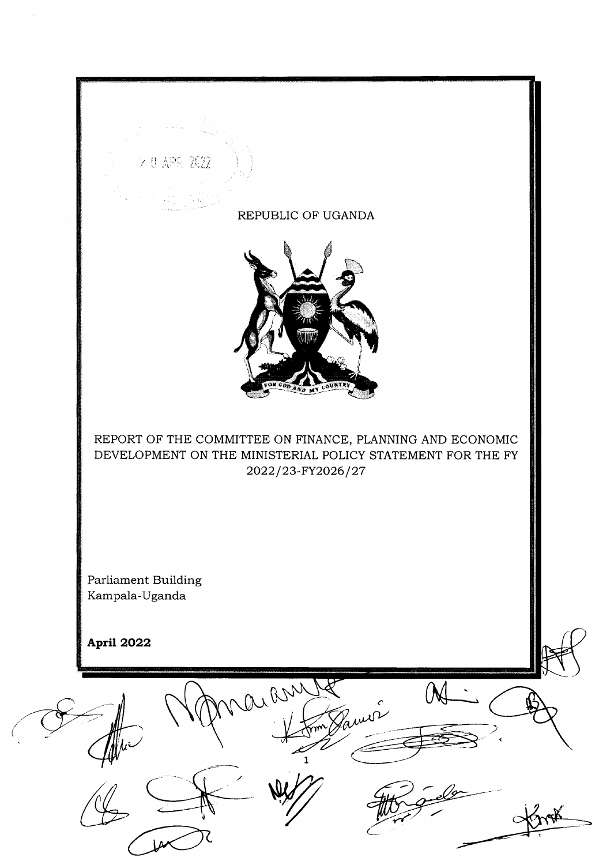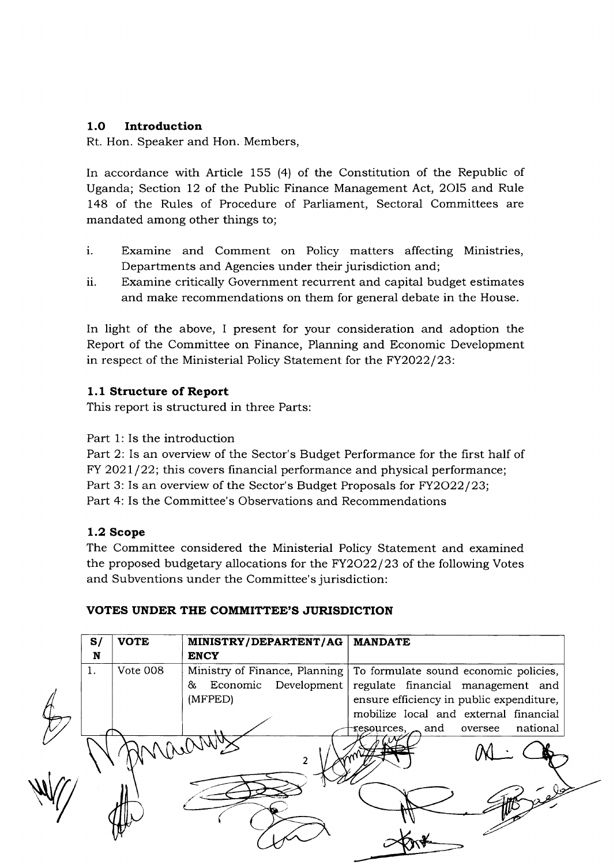## 1.O Introduction

Rt. Hon. Speaker and Hon. Members,

In accordance with Article 155 (4) of the Constitution of the Republic of Uganda; Section 12 of the Public Finance Management Act, 2Ol5 and Rule 148 of the Rules of Procedure of Parliament, Sectoral Committees are mandated among other things to;

- $\mathbf{i}$ . Examine and Comment on Policy matters affecting Ministries, Departments and Agencies under their jurisdiction and;
- 11. Examine critically Government recurrent and capital budget estimates and make recommendations on them for general debate in the House.

In light of the above, I present for your consideration and adoption the Report of the Committee on Finance, Planning and Economic Development in respect of the Ministerial Policy Statement for the FY2022/23:

## 1.1 Structure of Report

This report is structured in three Parts:

Part 1: Is the introduction

Part 2: Is an overview of the Sector's Budget Performance for the Iirst half of FY 2021/22; this covers financial performance and physical performance; Part 3: Is an overview of the Sector's Budget Proposals for FY2O22/23; Part 4: Is the Committee's Observations and Recommendations

#### 1.2 Scope

The Committee considered the Ministerial Policy Statement and examined the proposed budgetary allocations for the FY2O22/23 of the following Votes and Subventions under the Committee's jurisdiction:

## VOTES UNDER THE COMMITTEE'S JURISDICTION

|          | <b>ENCY</b>                                                             |                                                                                                                                                                 |
|----------|-------------------------------------------------------------------------|-----------------------------------------------------------------------------------------------------------------------------------------------------------------|
| Vote 008 | Ministry of Finance, Planning<br>Economic Development<br>83.<br>(MFPED) | To formulate sound economic policies,<br>regulate financial management and<br>ensure efficiency in public expenditure,<br>mobilize local and external financial |
|          |                                                                         | national<br>$\sim$ and<br>oversee<br>resources,                                                                                                                 |
|          |                                                                         | V9                                                                                                                                                              |
|          |                                                                         |                                                                                                                                                                 |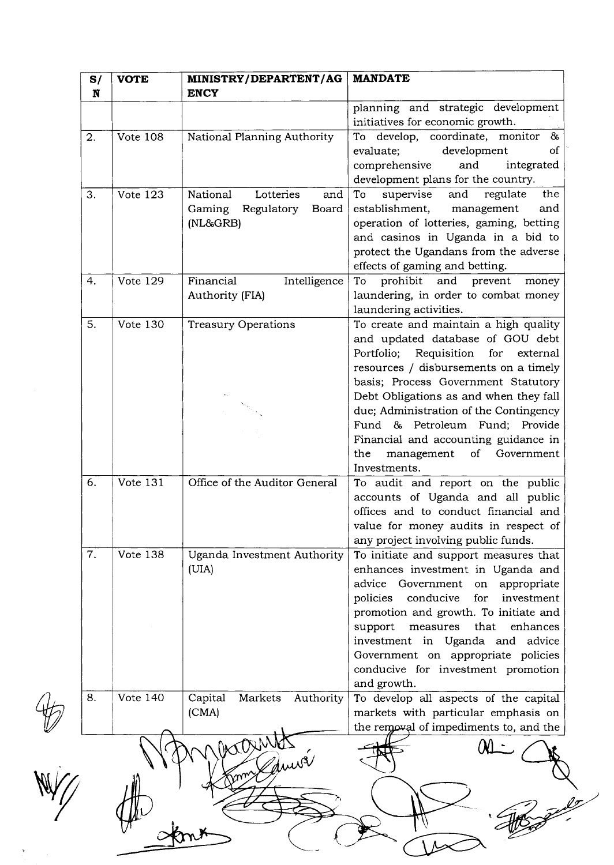|    | <b>VOTE</b>     | MINISTRY/DEPARTENT/AG<br><b>ENCY</b>                                      | <b>MANDATE</b>                                                                                                                                                                                                                                                                                                                                                                                                                |
|----|-----------------|---------------------------------------------------------------------------|-------------------------------------------------------------------------------------------------------------------------------------------------------------------------------------------------------------------------------------------------------------------------------------------------------------------------------------------------------------------------------------------------------------------------------|
|    |                 |                                                                           | planning and strategic development<br>initiatives for economic growth.                                                                                                                                                                                                                                                                                                                                                        |
| 2. | <b>Vote 108</b> | National Planning Authority                                               | To develop, coordinate, monitor<br>$\delta$<br>development<br>of<br>evaluate;<br>comprehensive<br>and<br>integrated<br>development plans for the country.                                                                                                                                                                                                                                                                     |
| 3. | Vote 123        | National<br>Lotteries<br>and<br>Regulatory<br>Gaming<br>Board<br>(NL&GRB) | the<br>supervise<br>and<br>regulate<br>To<br>establishment,<br>and<br>management<br>operation of lotteries, gaming, betting<br>and casinos in Uganda in a bid to<br>protect the Ugandans from the adverse<br>effects of gaming and betting.                                                                                                                                                                                   |
| 4. | <b>Vote 129</b> | Financial<br>Intelligence<br><b>Authority (FIA)</b>                       | prohibit and prevent<br>To<br>money<br>laundering, in order to combat money<br>laundering activities.                                                                                                                                                                                                                                                                                                                         |
| 5. | Vote 130        | <b>Treasury Operations</b>                                                | To create and maintain a high quality<br>and updated database of GOU debt<br>Portfolio;<br>Requisition<br>for<br>external<br>resources / disbursements on a timely<br>basis; Process Government Statutory<br>Debt Obligations as and when they fall<br>due; Administration of the Contingency<br>Fund & Petroleum Fund; Provide<br>Financial and accounting guidance in<br>the<br>management<br>of Government<br>Investments. |
| 6. | Vote 131        | Office of the Auditor General                                             | To audit and report on the public<br>accounts of Uganda and all public<br>offices and to conduct financial and<br>value for money audits in respect of<br>any project involving public funds.                                                                                                                                                                                                                                 |
| 7. | Vote 138        | Uganda Investment Authority<br>(UIA)                                      | To initiate and support measures that<br>enhances investment in Uganda and<br>advice Government on<br>appropriate<br>policies<br>conducive<br>investment<br>for<br>promotion and growth. To initiate and<br>measures that<br>enhances<br>support<br>investment in Uganda and advice<br>Government on appropriate policies<br>conducive for investment promotion<br>and growth.                                                |
| 8. | <b>Vote 140</b> | Capital<br>Markets<br>Authority<br>(CMA)                                  | To develop all aspects of the capital<br>markets with particular emphasis on                                                                                                                                                                                                                                                                                                                                                  |

 $\frac{1}{2}$ 

 $\sim$   $\sim$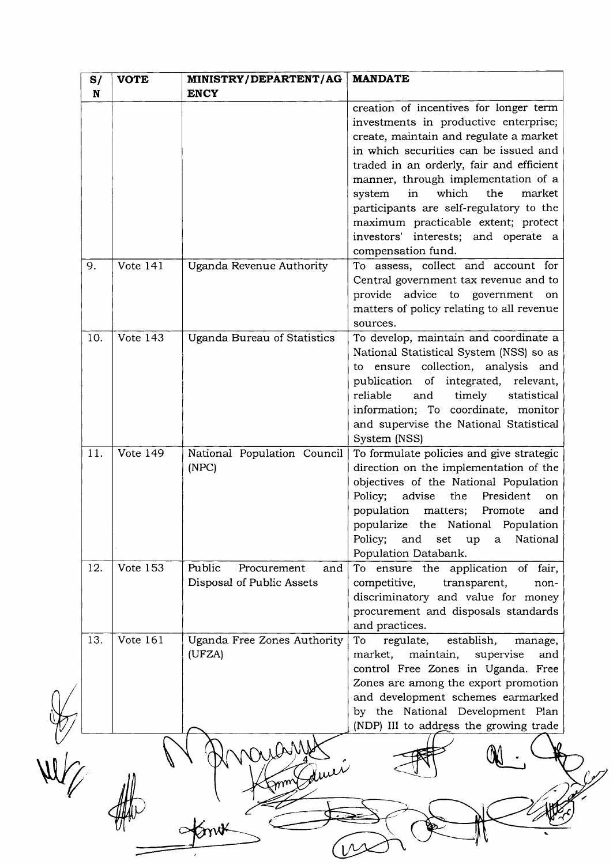| S/<br>N | <b>VOTE</b>     | MINISTRY/DEPARTENT/AG<br><b>ENCY</b>                      | <b>MANDATE</b>                                                                                                                                                                                                                                                                                                                                                                                                                                 |
|---------|-----------------|-----------------------------------------------------------|------------------------------------------------------------------------------------------------------------------------------------------------------------------------------------------------------------------------------------------------------------------------------------------------------------------------------------------------------------------------------------------------------------------------------------------------|
|         |                 |                                                           | creation of incentives for longer term<br>investments in productive enterprise;<br>create, maintain and regulate a market<br>in which securities can be issued and<br>traded in an orderly, fair and efficient<br>manner, through implementation of a<br>system<br>which<br>the<br>market<br>in<br>participants are self-regulatory to the<br>maximum practicable extent; protect<br>investors' interests; and operate a<br>compensation fund. |
| 9.      | Vote 141        | Uganda Revenue Authority                                  | To assess, collect and account for<br>Central government tax revenue and to<br>provide advice to government on<br>matters of policy relating to all revenue<br>sources.                                                                                                                                                                                                                                                                        |
| 10.     | Vote $143$      | Uganda Bureau of Statistics                               | To develop, maintain and coordinate a<br>National Statistical System (NSS) so as<br>to ensure collection, analysis and<br>publication of integrated, relevant,<br>timely<br>reliable<br>and<br>statistical<br>information; To coordinate, monitor<br>and supervise the National Statistical<br>System (NSS)                                                                                                                                    |
| 11.     | Vote 149        | National Population Council<br>(NPC)                      | To formulate policies and give strategic<br>direction on the implementation of the<br>objectives of the National Population<br>Policy; advise<br>the President<br>on<br>population matters;<br>Promote<br>and<br>popularize the National Population<br>Policy; and set up<br>National<br>$\mathbf{a}$<br>Population Databank.                                                                                                                  |
| 12.     | <b>Vote 153</b> | Public<br>Procurement<br>and<br>Disposal of Public Assets | To ensure the application of fair,<br>competitive,<br>transparent,<br>non-<br>discriminatory and value for money<br>procurement and disposals standards<br>and practices.                                                                                                                                                                                                                                                                      |
| 13.     | Vote 161        | Uganda Free Zones Authority<br>(UFZA)                     | To<br>regulate,<br>establish,<br>manage,<br>market,<br>maintain,<br>supervise<br>and<br>control Free Zones in Uganda. Free<br>Zones are among the export promotion<br>and development schemes earmarked<br>by the National Development Plan<br>(NDP) III to address the growing trade                                                                                                                                                          |
|         |                 |                                                           |                                                                                                                                                                                                                                                                                                                                                                                                                                                |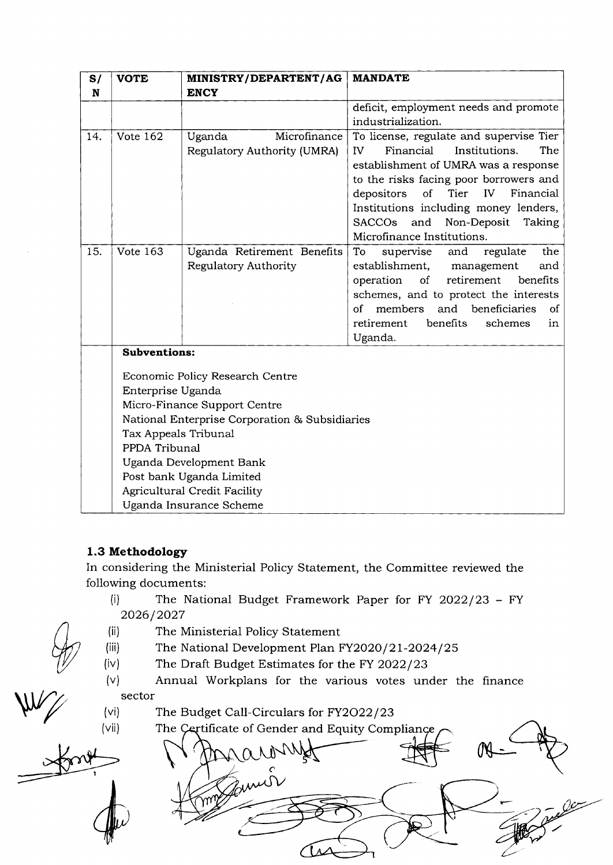| S/  | <b>VOTE</b>              | MINISTRY/DEPARTENT/AG                          | <b>MANDATE</b>                                                               |  |  |  |  |  |
|-----|--------------------------|------------------------------------------------|------------------------------------------------------------------------------|--|--|--|--|--|
| N   |                          | <b>ENCY</b>                                    | deficit, employment needs and promote                                        |  |  |  |  |  |
|     |                          |                                                | industrialization.                                                           |  |  |  |  |  |
| 14. | Vote 162                 | Microfinance<br>Uganda                         | To license, regulate and supervise Tier                                      |  |  |  |  |  |
|     |                          | Regulatory Authority (UMRA)                    | Institutions.<br>The<br>IV.<br>Financial                                     |  |  |  |  |  |
|     |                          |                                                | establishment of UMRA was a response                                         |  |  |  |  |  |
|     |                          |                                                | to the risks facing poor borrowers and                                       |  |  |  |  |  |
|     |                          |                                                | of<br>depositors<br>Tier<br>IV <sub></sub><br>Financial                      |  |  |  |  |  |
|     |                          |                                                | Institutions including money lenders,                                        |  |  |  |  |  |
|     |                          |                                                | <b>SACCOs</b><br>Non-Deposit<br>and<br>Taking                                |  |  |  |  |  |
|     |                          |                                                | Microfinance Institutions.                                                   |  |  |  |  |  |
| 15. | Vote 163                 | Uganda Retirement Benefits                     | To<br>supervise<br>regulate<br>the<br>and                                    |  |  |  |  |  |
|     |                          | Regulatory Authority                           | establishment,<br>management<br>and<br>$\mathop{\rm of}\nolimits$            |  |  |  |  |  |
|     |                          |                                                | operation<br>retirement<br>benefits<br>schemes, and to protect the interests |  |  |  |  |  |
|     |                          |                                                | and<br>beneficiaries<br>οf<br>members<br><sub>of</sub>                       |  |  |  |  |  |
|     |                          |                                                | retirement<br>benefits<br>schemes<br>in                                      |  |  |  |  |  |
|     |                          |                                                | Uganda.                                                                      |  |  |  |  |  |
|     | <b>Subventions:</b>      |                                                |                                                                              |  |  |  |  |  |
|     |                          | Economic Policy Research Centre                |                                                                              |  |  |  |  |  |
|     | Enterprise Uganda        |                                                |                                                                              |  |  |  |  |  |
|     |                          | Micro-Finance Support Centre                   |                                                                              |  |  |  |  |  |
|     |                          | National Enterprise Corporation & Subsidiaries |                                                                              |  |  |  |  |  |
|     | Tax Appeals Tribunal     |                                                |                                                                              |  |  |  |  |  |
|     | PPDA Tribunal            |                                                |                                                                              |  |  |  |  |  |
|     | Uganda Development Bank  |                                                |                                                                              |  |  |  |  |  |
|     | Post bank Uganda Limited |                                                |                                                                              |  |  |  |  |  |
|     |                          | Agricultural Credit Facility                   |                                                                              |  |  |  |  |  |
|     |                          | Uganda Insurance Scheme                        |                                                                              |  |  |  |  |  |

## 1.3 Methodology

In considering the Ministerial Policy Statement, the Committee reviewed the following documents:

- (i) The National Budget Framework Paper for FY 2022/23 FY 2026/2027
- (ii) The Ministerial Policy Statement
- (iii) The National Development Plan FY2O2O/2L-2O24/25
- $(iv)$  The Draft Budget Estimates for the FY 2022/23
- $(v)$  Annual Workplans for the various votes under the finance  $\begin{picture}(120,140) \put(15,14){\line(1,0){155}} \put(15,14){\line(1,0){155}} \put(15,14){\line(1,0){155}} \put(15,14){\line(1,0){155}} \put(15,14){\line(1,0){155}} \put(15,14){\line(1,0){155}} \put(15,14){\line(1,0){155}} \put(15,14){\line(1,0){155}} \put(15,14){\line(1,0){155}} \put(15,14){\line(1,0){155}} \put(15,1$ 
	- (vi) The Budget Call-Circulars for FY2O22/23

(vii) te of Gender and Equity Com zumó 7' The Certificate of Gender and Equity Compliance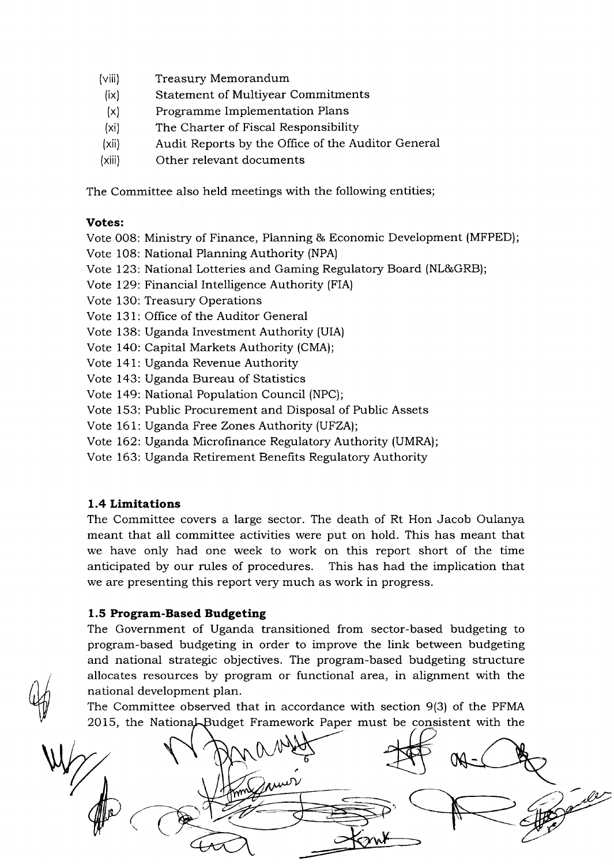- (viii) Treasury Memorandum
- (ix) Statement of Multiyear Commitments
- $(x)$ Programme Implementation Plans
- (xi) The Charter of Fiscal Responsibility
- (xii) Audit Reports by the Office of the Auditor General
- (xiii) Other relevant documents

The Committee also held meetings with the following entities;

#### Votes:

- Vote OO8: Ministry of Finance, Planning & Economic Development (MFPED);
- Vote 108: National Planning Authority (NPA)
- Vote 123: National Lotteries and Gaming Regulatory Board (NL&GRB);
- Vote 129: Financial Intelligence Authority (FIA)
- Vote 130: Treasury Operations
- Vote 131: Office of the Auditor General
- Vote 138: Uganda Investment Authority (UIA)
- Vote 140: Capital Markets Authority (CMA)
- Vote 141: Uganda Revenue Authority
- Vote 143: Uganda Bureau of Statistics
- Vote 149: National Population Council (NPC);
- Vote 153: Public Procurement and Disposal of Public Assets
- Vote 161: Uganda Free Zones Authority (UFZA);
- Vote 162: Uganda Microfinance Regulatory Authority (UMRA)<sub>.</sub>
- Vote 163: Uganda Retirement Benefits Regulatory Authority

## 1.4 Limitations

 $\mathbb{Q}_0$ 

The Committee covers a large sector. The death of Rt Hon Jacob Oulanya meant that all committee activities were put on hold. This has meant that we have only had one week to work on this report short of the time anticipated by our rules of procedures. This has had the implication that we are presenting this report very much as work in progress.

## 1.5 Program-Based Budgeting

The Government of Uganda transitioned from sector-based budgeting to program-based budgeting in order to improve the link between budgeting and national strategic objectives. The program-based budgeting structure allocates resources by program or functional area, in alignment with the national development plan.

The Committee observed that in accordance with section 9(3) of the PFMA 2015, the National Budget Framework Paper must be consistent with the

)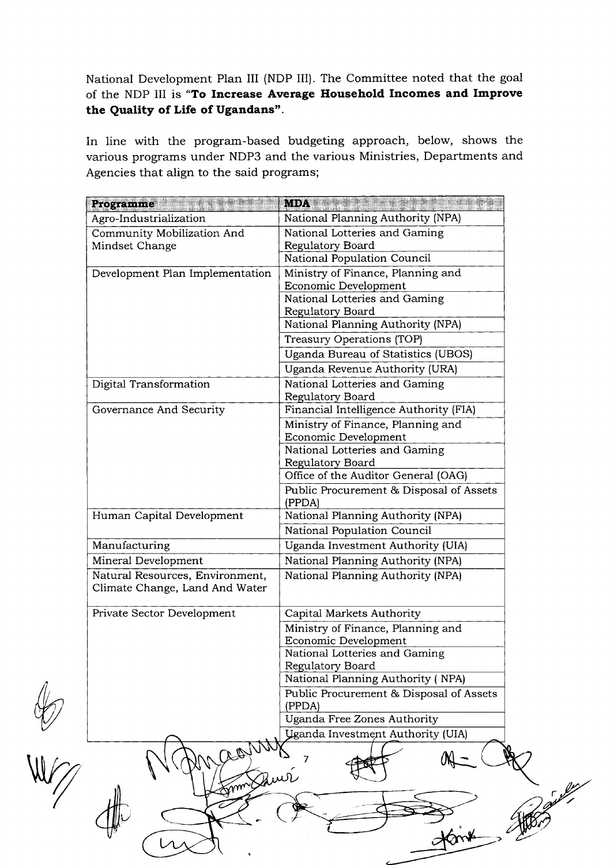National Development Plan III (NDP III). The Committee noted that the goal of the NDP III is "To Increase Average Household Incomes and Improve the Quality of Life of Ugandans".

In line with the program-based budgeting approach, below, shows the various programs under NDP3 and the various Ministries, Departments and Agencies that align to the said programs;

| National Planning Authority (NPA)<br>Agro-Industrialization<br>Community Mobilization And<br>National Lotteries and Gaming<br>Regulatory Board<br>Mindset Change<br>National Population Council<br>Ministry of Finance, Planning and<br>Development Plan Implementation<br>Economic Development<br>National Lotteries and Gaming<br>Regulatory Board<br>National Planning Authority (NPA)<br>Treasury Operations (TOP)<br>Uganda Bureau of Statistics (UBOS)<br>Uganda Revenue Authority (URA)<br>Digital Transformation<br>National Lotteries and Gaming<br>Regulatory Board<br>Financial Intelligence Authority (FIA)<br>Governance And Security<br>Ministry of Finance, Planning and<br>Economic Development<br>National Lotteries and Gaming<br>Regulatory Board<br>Office of the Auditor General (OAG)<br>Public Procurement & Disposal of Assets<br>(PPDA)<br>National Planning Authority (NPA)<br>Human Capital Development<br>National Population Council<br>Uganda Investment Authority (UIA)<br>Manufacturing<br>Mineral Development<br>National Planning Authority (NPA)<br>Natural Resources, Environment,<br>National Planning Authority (NPA)<br>Climate Change, Land And Water<br>Private Sector Development<br>Capital Markets Authority<br>Ministry of Finance, Planning and<br>Economic Development<br>National Lotteries and Gaming<br>Regulatory Board<br>National Planning Authority (NPA)<br>Public Procurement & Disposal of Assets<br>(PPDA)<br>Uganda Free Zones Authority<br><b>Uganda Investment Authority (UIA)</b> |       |
|-------------------------------------------------------------------------------------------------------------------------------------------------------------------------------------------------------------------------------------------------------------------------------------------------------------------------------------------------------------------------------------------------------------------------------------------------------------------------------------------------------------------------------------------------------------------------------------------------------------------------------------------------------------------------------------------------------------------------------------------------------------------------------------------------------------------------------------------------------------------------------------------------------------------------------------------------------------------------------------------------------------------------------------------------------------------------------------------------------------------------------------------------------------------------------------------------------------------------------------------------------------------------------------------------------------------------------------------------------------------------------------------------------------------------------------------------------------------------------------------------------------------------------------------------|-------|
|                                                                                                                                                                                                                                                                                                                                                                                                                                                                                                                                                                                                                                                                                                                                                                                                                                                                                                                                                                                                                                                                                                                                                                                                                                                                                                                                                                                                                                                                                                                                                 |       |
|                                                                                                                                                                                                                                                                                                                                                                                                                                                                                                                                                                                                                                                                                                                                                                                                                                                                                                                                                                                                                                                                                                                                                                                                                                                                                                                                                                                                                                                                                                                                                 |       |
|                                                                                                                                                                                                                                                                                                                                                                                                                                                                                                                                                                                                                                                                                                                                                                                                                                                                                                                                                                                                                                                                                                                                                                                                                                                                                                                                                                                                                                                                                                                                                 |       |
|                                                                                                                                                                                                                                                                                                                                                                                                                                                                                                                                                                                                                                                                                                                                                                                                                                                                                                                                                                                                                                                                                                                                                                                                                                                                                                                                                                                                                                                                                                                                                 |       |
|                                                                                                                                                                                                                                                                                                                                                                                                                                                                                                                                                                                                                                                                                                                                                                                                                                                                                                                                                                                                                                                                                                                                                                                                                                                                                                                                                                                                                                                                                                                                                 |       |
|                                                                                                                                                                                                                                                                                                                                                                                                                                                                                                                                                                                                                                                                                                                                                                                                                                                                                                                                                                                                                                                                                                                                                                                                                                                                                                                                                                                                                                                                                                                                                 |       |
|                                                                                                                                                                                                                                                                                                                                                                                                                                                                                                                                                                                                                                                                                                                                                                                                                                                                                                                                                                                                                                                                                                                                                                                                                                                                                                                                                                                                                                                                                                                                                 |       |
|                                                                                                                                                                                                                                                                                                                                                                                                                                                                                                                                                                                                                                                                                                                                                                                                                                                                                                                                                                                                                                                                                                                                                                                                                                                                                                                                                                                                                                                                                                                                                 |       |
|                                                                                                                                                                                                                                                                                                                                                                                                                                                                                                                                                                                                                                                                                                                                                                                                                                                                                                                                                                                                                                                                                                                                                                                                                                                                                                                                                                                                                                                                                                                                                 |       |
|                                                                                                                                                                                                                                                                                                                                                                                                                                                                                                                                                                                                                                                                                                                                                                                                                                                                                                                                                                                                                                                                                                                                                                                                                                                                                                                                                                                                                                                                                                                                                 |       |
|                                                                                                                                                                                                                                                                                                                                                                                                                                                                                                                                                                                                                                                                                                                                                                                                                                                                                                                                                                                                                                                                                                                                                                                                                                                                                                                                                                                                                                                                                                                                                 |       |
|                                                                                                                                                                                                                                                                                                                                                                                                                                                                                                                                                                                                                                                                                                                                                                                                                                                                                                                                                                                                                                                                                                                                                                                                                                                                                                                                                                                                                                                                                                                                                 |       |
|                                                                                                                                                                                                                                                                                                                                                                                                                                                                                                                                                                                                                                                                                                                                                                                                                                                                                                                                                                                                                                                                                                                                                                                                                                                                                                                                                                                                                                                                                                                                                 |       |
|                                                                                                                                                                                                                                                                                                                                                                                                                                                                                                                                                                                                                                                                                                                                                                                                                                                                                                                                                                                                                                                                                                                                                                                                                                                                                                                                                                                                                                                                                                                                                 |       |
|                                                                                                                                                                                                                                                                                                                                                                                                                                                                                                                                                                                                                                                                                                                                                                                                                                                                                                                                                                                                                                                                                                                                                                                                                                                                                                                                                                                                                                                                                                                                                 |       |
|                                                                                                                                                                                                                                                                                                                                                                                                                                                                                                                                                                                                                                                                                                                                                                                                                                                                                                                                                                                                                                                                                                                                                                                                                                                                                                                                                                                                                                                                                                                                                 |       |
|                                                                                                                                                                                                                                                                                                                                                                                                                                                                                                                                                                                                                                                                                                                                                                                                                                                                                                                                                                                                                                                                                                                                                                                                                                                                                                                                                                                                                                                                                                                                                 |       |
|                                                                                                                                                                                                                                                                                                                                                                                                                                                                                                                                                                                                                                                                                                                                                                                                                                                                                                                                                                                                                                                                                                                                                                                                                                                                                                                                                                                                                                                                                                                                                 |       |
|                                                                                                                                                                                                                                                                                                                                                                                                                                                                                                                                                                                                                                                                                                                                                                                                                                                                                                                                                                                                                                                                                                                                                                                                                                                                                                                                                                                                                                                                                                                                                 |       |
|                                                                                                                                                                                                                                                                                                                                                                                                                                                                                                                                                                                                                                                                                                                                                                                                                                                                                                                                                                                                                                                                                                                                                                                                                                                                                                                                                                                                                                                                                                                                                 |       |
|                                                                                                                                                                                                                                                                                                                                                                                                                                                                                                                                                                                                                                                                                                                                                                                                                                                                                                                                                                                                                                                                                                                                                                                                                                                                                                                                                                                                                                                                                                                                                 |       |
|                                                                                                                                                                                                                                                                                                                                                                                                                                                                                                                                                                                                                                                                                                                                                                                                                                                                                                                                                                                                                                                                                                                                                                                                                                                                                                                                                                                                                                                                                                                                                 |       |
|                                                                                                                                                                                                                                                                                                                                                                                                                                                                                                                                                                                                                                                                                                                                                                                                                                                                                                                                                                                                                                                                                                                                                                                                                                                                                                                                                                                                                                                                                                                                                 |       |
|                                                                                                                                                                                                                                                                                                                                                                                                                                                                                                                                                                                                                                                                                                                                                                                                                                                                                                                                                                                                                                                                                                                                                                                                                                                                                                                                                                                                                                                                                                                                                 |       |
|                                                                                                                                                                                                                                                                                                                                                                                                                                                                                                                                                                                                                                                                                                                                                                                                                                                                                                                                                                                                                                                                                                                                                                                                                                                                                                                                                                                                                                                                                                                                                 |       |
|                                                                                                                                                                                                                                                                                                                                                                                                                                                                                                                                                                                                                                                                                                                                                                                                                                                                                                                                                                                                                                                                                                                                                                                                                                                                                                                                                                                                                                                                                                                                                 |       |
|                                                                                                                                                                                                                                                                                                                                                                                                                                                                                                                                                                                                                                                                                                                                                                                                                                                                                                                                                                                                                                                                                                                                                                                                                                                                                                                                                                                                                                                                                                                                                 |       |
|                                                                                                                                                                                                                                                                                                                                                                                                                                                                                                                                                                                                                                                                                                                                                                                                                                                                                                                                                                                                                                                                                                                                                                                                                                                                                                                                                                                                                                                                                                                                                 |       |
|                                                                                                                                                                                                                                                                                                                                                                                                                                                                                                                                                                                                                                                                                                                                                                                                                                                                                                                                                                                                                                                                                                                                                                                                                                                                                                                                                                                                                                                                                                                                                 |       |
|                                                                                                                                                                                                                                                                                                                                                                                                                                                                                                                                                                                                                                                                                                                                                                                                                                                                                                                                                                                                                                                                                                                                                                                                                                                                                                                                                                                                                                                                                                                                                 |       |
|                                                                                                                                                                                                                                                                                                                                                                                                                                                                                                                                                                                                                                                                                                                                                                                                                                                                                                                                                                                                                                                                                                                                                                                                                                                                                                                                                                                                                                                                                                                                                 |       |
|                                                                                                                                                                                                                                                                                                                                                                                                                                                                                                                                                                                                                                                                                                                                                                                                                                                                                                                                                                                                                                                                                                                                                                                                                                                                                                                                                                                                                                                                                                                                                 |       |
|                                                                                                                                                                                                                                                                                                                                                                                                                                                                                                                                                                                                                                                                                                                                                                                                                                                                                                                                                                                                                                                                                                                                                                                                                                                                                                                                                                                                                                                                                                                                                 |       |
|                                                                                                                                                                                                                                                                                                                                                                                                                                                                                                                                                                                                                                                                                                                                                                                                                                                                                                                                                                                                                                                                                                                                                                                                                                                                                                                                                                                                                                                                                                                                                 |       |
|                                                                                                                                                                                                                                                                                                                                                                                                                                                                                                                                                                                                                                                                                                                                                                                                                                                                                                                                                                                                                                                                                                                                                                                                                                                                                                                                                                                                                                                                                                                                                 |       |
|                                                                                                                                                                                                                                                                                                                                                                                                                                                                                                                                                                                                                                                                                                                                                                                                                                                                                                                                                                                                                                                                                                                                                                                                                                                                                                                                                                                                                                                                                                                                                 |       |
| France                                                                                                                                                                                                                                                                                                                                                                                                                                                                                                                                                                                                                                                                                                                                                                                                                                                                                                                                                                                                                                                                                                                                                                                                                                                                                                                                                                                                                                                                                                                                          | بطحمي |
|                                                                                                                                                                                                                                                                                                                                                                                                                                                                                                                                                                                                                                                                                                                                                                                                                                                                                                                                                                                                                                                                                                                                                                                                                                                                                                                                                                                                                                                                                                                                                 |       |
|                                                                                                                                                                                                                                                                                                                                                                                                                                                                                                                                                                                                                                                                                                                                                                                                                                                                                                                                                                                                                                                                                                                                                                                                                                                                                                                                                                                                                                                                                                                                                 |       |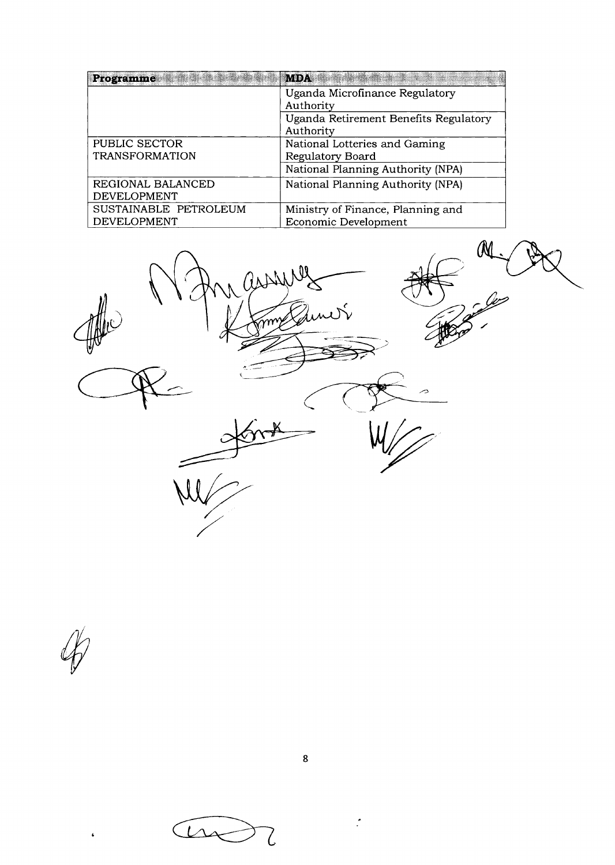| Programme             | <b>MDA</b><br><b>TANANA ATA TARA</b>  |
|-----------------------|---------------------------------------|
|                       | Uganda Microfinance Regulatory        |
|                       | Authority                             |
|                       | Uganda Retirement Benefits Regulatory |
|                       | Authority                             |
| PUBLIC SECTOR         | National Lotteries and Gaming         |
| <b>TRANSFORMATION</b> | Regulatory Board                      |
|                       | National Planning Authority (NPA)     |
| REGIONAL BALANCED     | National Planning Authority (NPA)     |
| <b>DEVELOPMENT</b>    |                                       |
| SUSTAINABLE PETROLEUM | Ministry of Finance, Planning and     |
| <b>DEVELOPMENT</b>    | Economic Development                  |

1 assured  $\begin{array}{c}\n\lambda \\
\lambda \\
\lambda\n\end{array}$  $\mathcal{N}^ \mathbb{P}$ 

 $\ddot{\bullet}$ 

 $\hat{\cdot}$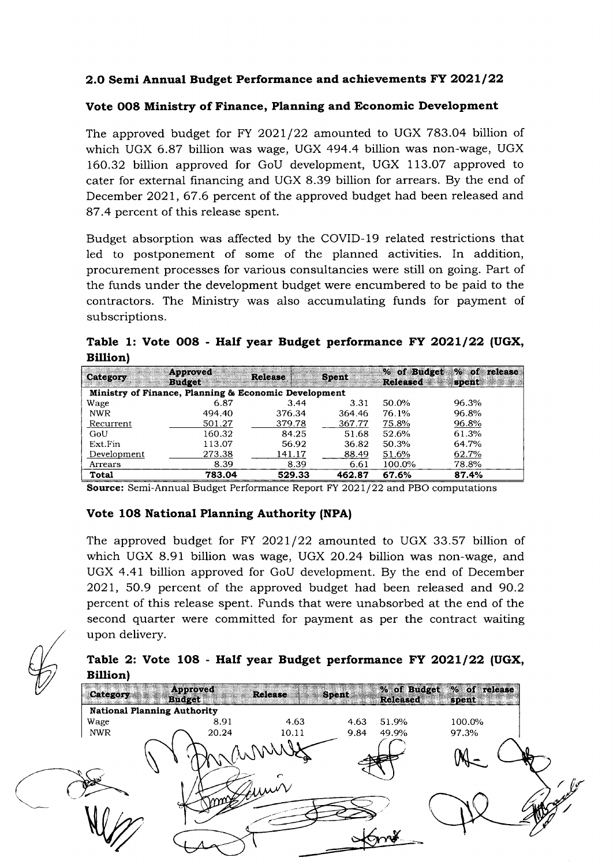## 2.0 Semi Annual Budget Performance and achievements FY 2021/22

#### Vote OO8 Ministry of Finance, Planning and Economic Development

The approved budget for FY 2O2l/22 amounted to UGX 783.04 billion of which UGX 6.87 billion was wage, UGX 494.4 billion was non-wage, UGX 160.32 billion approved for GoU development, UGX 113.07 approved to cater for external financing and UGX 8.39 billion for arrears. By the end of December 2021, 67.6 percent of the approved budget had been released and 87.4 percent of this release spent.

Budget absorption was affected by the COVID-19 related restrictions that led to postponement of some of the planned activities. In addition, procurement processes for various consultancies were still on going. Part of the funds under the development budget were encumbered to be paid to the contractors. The Ministry was also accumulating funds for payment of subscriptions.

Table 1: Vote 008 - Half year Budget performance FY 2021/22 (UGX, Billion)

| Category     | Approved<br><b>Budget</b>                            | <b>Release</b> | <b>Spent</b> | % of Budget<br><b>Released</b> | $%$ of<br>release<br>spent |
|--------------|------------------------------------------------------|----------------|--------------|--------------------------------|----------------------------|
|              | Ministry of Finance, Planning & Economic Development |                |              |                                |                            |
| Wage         | 6.87                                                 | 3.44           | 3.31         | 50.0%                          | 96.3%                      |
| <b>NWR</b>   | 494.40                                               | 376.34         | 364.46       | 76.1%                          | 96.8%                      |
| Recurrent    | 501.27                                               | 379.78         | 367.77       | 75.8%                          | 96.8%                      |
| GoU          | 160.32                                               | 84.25          | 51.68        | 52.6%                          | 61.3%                      |
| Ext.Fin      | 113.07                                               | 56.92          | 36.82        | 50.3%                          | 64.7%                      |
| Development  | 273.38                                               | 141.17         | 88.49        | 51.6%                          | 62.7%                      |
| Arrears      | 8.39                                                 | 8.39           | 6.61         | 100.0%                         | 78.8%                      |
| <b>Total</b> | 783.04                                               | 529.33         | 462.87       | 67.6%                          | 87.4%                      |

Source: Semi-Annual Budget Performance Report FY 2O2l/22 and PBO computations

#### Vote 1O8 National Planning Authority (NPA|

The approved budget for FY 2O2l/22 amounted to UGX 33.57 billion of which UGX 8.91 billion was wage, UGX 20.24 billion was non-wage, and UGX 4.41 billion approved for GoU development. By the end of December 2021, 50.9 percent of the approved budget had been released and 9O.2 percent of this release spent. Funds that were unabsorbed at the end of the second quarter were committed for payment as per the contract waiting upon delivery.

# Table 2: Vote 108 - Half year Budget performance FY 2021/22 (UGX, **Billion**)

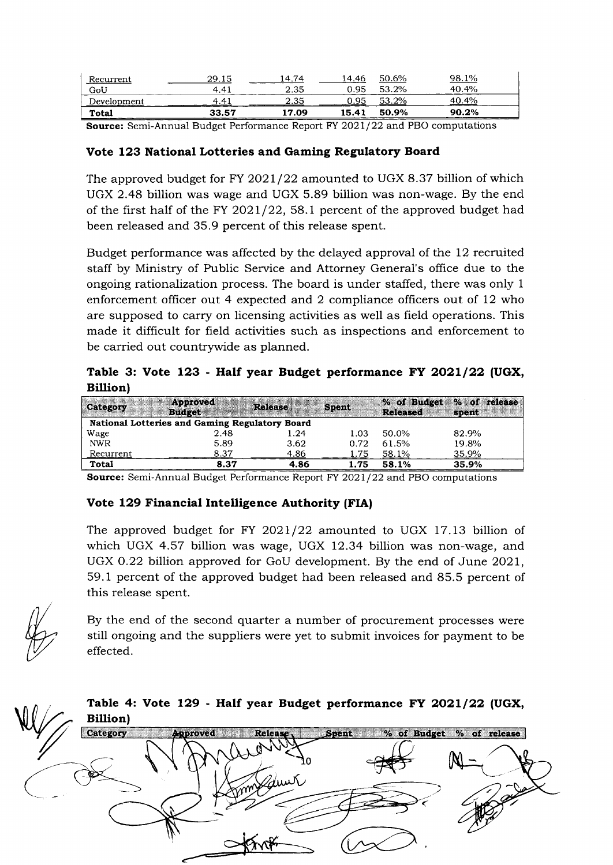| Recurrent                | 29.15         | 14.74 | 14.46 | 50.6% | 1%<br>98.       |  |
|--------------------------|---------------|-------|-------|-------|-----------------|--|
| GoU                      | 4.41          | 2.35  | 0.95  | 53.2% | 40.4%           |  |
| Development<br>_________ | $4.4^{\circ}$ | 2.35  | 0.95  | 53.2% | 40.4%<br>______ |  |
| Total                    | 33.57         | L7.09 | 15.41 | 50.9% | 90.2%           |  |

Source: Semi-Annual Budget Performance Report FY 2O2l/22 and PBO computations

#### Vote 123 National Lotteries and Gaming Regulatory Board

The approved budget for FY 2021/22 amounted to UGX 8.37 billion of which UGX 2.48 billion was wage and UGX 5.89 billion was non-wage. By the end of the first half of the FY 2021/22, 58.1 percent of the approved budget had been released and 35.9 percent of this release spent.

Budget performance was affected by the delayed approval of the 12 recruited staff by Ministry of Public Service and Attorney General's office due to the ongoing rationalization process. The board is under staffed, there was only <sup>1</sup> enforcement oflicer out 4 expected and 2 compliance officers out of 12 who are supposed to carry on licensing activities as well as field operations. This made it difficult for field activities such as inspections and enforcement to be carried out countrywide as planned.

Table 3: Vote 123 - Half year Budget performance FY 2021/22 (UGX, Billion)

| Category   | Approved<br><b>Budget</b>                      | Release | <b>Spent</b> | <b>Released</b> | % of Budget % of release<br>spent |
|------------|------------------------------------------------|---------|--------------|-----------------|-----------------------------------|
|            | National Lotteries and Gaming Regulatory Board |         |              |                 |                                   |
| Wage       | 2.48                                           | 1.24    | 1.03         | 50.0%           | 82.9%                             |
| <b>NWR</b> | 5.89                                           | 3.62    | 0.72         | 61.5%           | 19.8%                             |
| Recurrent  | 8.37                                           | 4.86    | .75          | 58.1%           | 35.9%                             |
| Total      | 8.37                                           | 4.86    | 1.75         | 58.1%           | 35.9%                             |

Source: Semi-Annual Budget Performance Report FY 2O2l /22 and PBO computations

## Vote 129 Financial Intelligence Authority (FIA)

The approved budget for FY 2021/22 amounted to UGX 17.13 billion of which UGX 4.57 billion was wage, UGX 12.34 billion was non-wage, and UGX O.22 billion approved for GoU development. By the end of June 2021, 59. 1 percent of the approved budget had been released and 85.5 percent of this release spent.



By the end of the second quarter a number of procurement processes were still ongoing and the suppliers were yet to submit invoices for payment to be effected.

W Table 4: Vote 129 - Half year Budget performance FY 2021/22 (UGX, Billion) Category Spent of Budget % of release proved